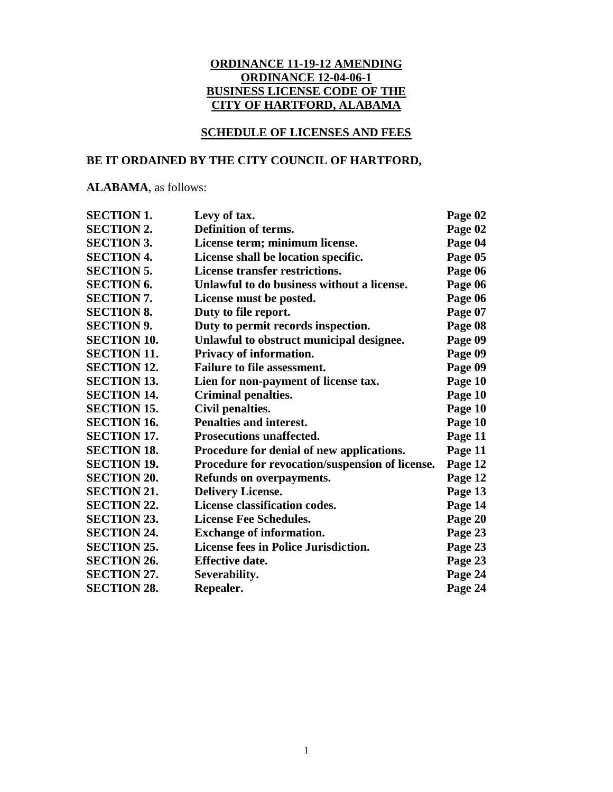### **ORDINANCE 11-19-12 AMENDING ORDINANCE 12-04-06-1 BUSINESS LICENSE CODE OF THE CITY OF HARTFORD, ALABAMA**

### **SCHEDULE OF LICENSES AND FEES**

### **BE IT ORDAINED BY THE CITY COUNCIL OF HARTFORD,**

**ALABAMA**, as follows:

| <b>SECTION 1.</b>  | Levy of tax.                                    | Page 02 |
|--------------------|-------------------------------------------------|---------|
| <b>SECTION 2.</b>  | Definition of terms.                            | Page 02 |
| <b>SECTION 3.</b>  | License term; minimum license.                  | Page 04 |
| <b>SECTION 4.</b>  | License shall be location specific.             | Page 05 |
| <b>SECTION 5.</b>  | <b>License transfer restrictions.</b>           | Page 06 |
| <b>SECTION 6.</b>  | Unlawful to do business without a license.      | Page 06 |
| <b>SECTION 7.</b>  | License must be posted.                         | Page 06 |
| <b>SECTION 8.</b>  | Duty to file report.                            | Page 07 |
| <b>SECTION 9.</b>  | Duty to permit records inspection.              | Page 08 |
| <b>SECTION 10.</b> | Unlawful to obstruct municipal designee.        | Page 09 |
| <b>SECTION 11.</b> | Privacy of information.                         | Page 09 |
| <b>SECTION 12.</b> | <b>Failure to file assessment.</b>              | Page 09 |
| <b>SECTION 13.</b> | Lien for non-payment of license tax.            | Page 10 |
| <b>SECTION 14.</b> | <b>Criminal penalties.</b>                      | Page 10 |
| <b>SECTION 15.</b> | Civil penalties.                                | Page 10 |
| <b>SECTION 16.</b> | Penalties and interest.                         | Page 10 |
| <b>SECTION 17.</b> | <b>Prosecutions unaffected.</b>                 | Page 11 |
| <b>SECTION 18.</b> | Procedure for denial of new applications.       | Page 11 |
| <b>SECTION 19.</b> | Procedure for revocation/suspension of license. | Page 12 |
| <b>SECTION 20.</b> | Refunds on overpayments.                        | Page 12 |
| <b>SECTION 21.</b> | <b>Delivery License.</b>                        | Page 13 |
| <b>SECTION 22.</b> | License classification codes.                   | Page 14 |
| <b>SECTION 23.</b> | <b>License Fee Schedules.</b>                   | Page 20 |
| <b>SECTION 24.</b> | <b>Exchange of information.</b>                 | Page 23 |
| <b>SECTION 25.</b> | <b>License fees in Police Jurisdiction.</b>     | Page 23 |
| <b>SECTION 26.</b> | <b>Effective date.</b>                          | Page 23 |
| <b>SECTION 27.</b> | Severability.                                   | Page 24 |
| <b>SECTION 28.</b> | Repealer.                                       | Page 24 |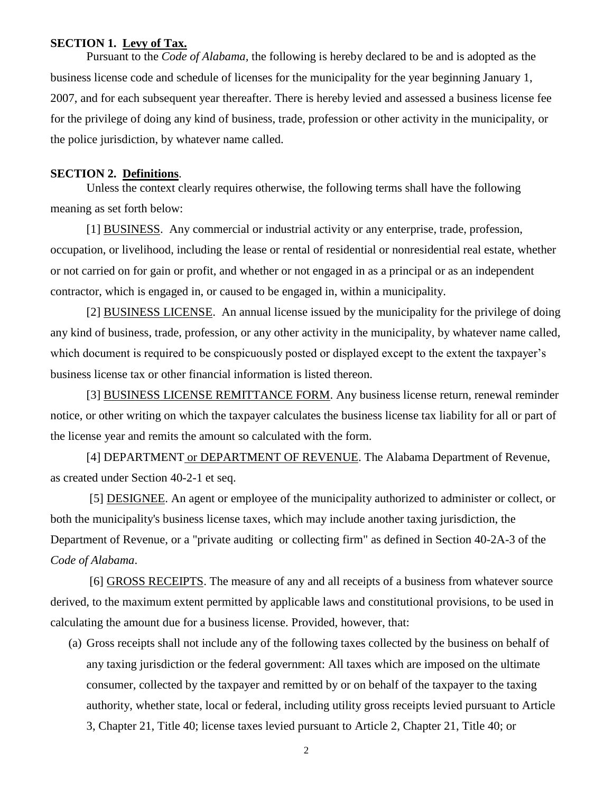### **SECTION 1. Levy of Tax.**

Pursuant to the *Code of Alabama,* the following is hereby declared to be and is adopted as the business license code and schedule of licenses for the municipality for the year beginning January 1, 2007, and for each subsequent year thereafter. There is hereby levied and assessed a business license fee for the privilege of doing any kind of business, trade, profession or other activity in the municipality, or the police jurisdiction, by whatever name called.

### **SECTION 2. Definitions**.

Unless the context clearly requires otherwise, the following terms shall have the following meaning as set forth below:

[1] BUSINESS. Any commercial or industrial activity or any enterprise, trade, profession, occupation, or livelihood, including the lease or rental of residential or nonresidential real estate, whether or not carried on for gain or profit, and whether or not engaged in as a principal or as an independent contractor, which is engaged in, or caused to be engaged in, within a municipality.

[2] BUSINESS LICENSE. An annual license issued by the municipality for the privilege of doing any kind of business, trade, profession, or any other activity in the municipality, by whatever name called, which document is required to be conspicuously posted or displayed except to the extent the taxpayer's business license tax or other financial information is listed thereon.

[3] BUSINESS LICENSE REMITTANCE FORM. Any business license return, renewal reminder notice, or other writing on which the taxpayer calculates the business license tax liability for all or part of the license year and remits the amount so calculated with the form.

[4] DEPARTMENT or DEPARTMENT OF REVENUE. The Alabama Department of Revenue, as created under Section 40-2-1 et seq.

[5] DESIGNEE. An agent or employee of the municipality authorized to administer or collect, or both the municipality's business license taxes, which may include another taxing jurisdiction, the Department of Revenue, or a "private auditing or collecting firm" as defined in Section 40-2A-3 of the *Code of Alabama*.

[6] GROSS RECEIPTS. The measure of any and all receipts of a business from whatever source derived, to the maximum extent permitted by applicable laws and constitutional provisions, to be used in calculating the amount due for a business license. Provided, however, that:

(a) Gross receipts shall not include any of the following taxes collected by the business on behalf of any taxing jurisdiction or the federal government: All taxes which are imposed on the ultimate consumer, collected by the taxpayer and remitted by or on behalf of the taxpayer to the taxing authority, whether state, local or federal, including utility gross receipts levied pursuant to Article 3, Chapter 21, Title 40; license taxes levied pursuant to Article 2, Chapter 21, Title 40; or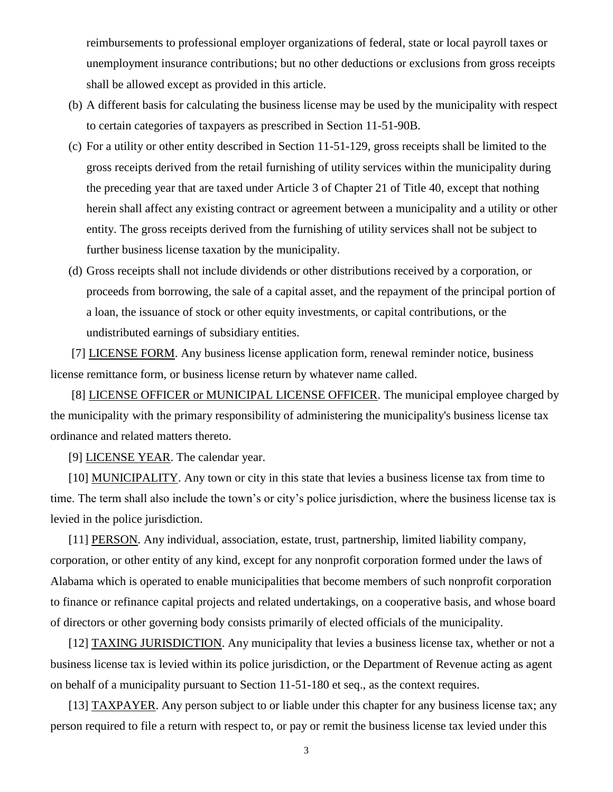reimbursements to professional employer organizations of federal, state or local payroll taxes or unemployment insurance contributions; but no other deductions or exclusions from gross receipts shall be allowed except as provided in this article.

- (b) A different basis for calculating the business license may be used by the municipality with respect to certain categories of taxpayers as prescribed in Section 11-51-90B.
- (c) For a utility or other entity described in Section 11-51-129, gross receipts shall be limited to the gross receipts derived from the retail furnishing of utility services within the municipality during the preceding year that are taxed under Article 3 of Chapter 21 of Title 40, except that nothing herein shall affect any existing contract or agreement between a municipality and a utility or other entity. The gross receipts derived from the furnishing of utility services shall not be subject to further business license taxation by the municipality.
- (d) Gross receipts shall not include dividends or other distributions received by a corporation, or proceeds from borrowing, the sale of a capital asset, and the repayment of the principal portion of a loan, the issuance of stock or other equity investments, or capital contributions, or the undistributed earnings of subsidiary entities.

[7] LICENSE FORM. Any business license application form, renewal reminder notice, business license remittance form, or business license return by whatever name called.

[8] LICENSE OFFICER or MUNICIPAL LICENSE OFFICER. The municipal employee charged by the municipality with the primary responsibility of administering the municipality's business license tax ordinance and related matters thereto.

[9] LICENSE YEAR. The calendar year.

[10] MUNICIPALITY. Any town or city in this state that levies a business license tax from time to time. The term shall also include the town's or city's police jurisdiction, where the business license tax is levied in the police jurisdiction.

[11] PERSON. Any individual, association, estate, trust, partnership, limited liability company, corporation, or other entity of any kind, except for any nonprofit corporation formed under the laws of Alabama which is operated to enable municipalities that become members of such nonprofit corporation to finance or refinance capital projects and related undertakings, on a cooperative basis, and whose board of directors or other governing body consists primarily of elected officials of the municipality.

[12] TAXING JURISDICTION. Any municipality that levies a business license tax, whether or not a business license tax is levied within its police jurisdiction, or the Department of Revenue acting as agent on behalf of a municipality pursuant to Section 11-51-180 et seq., as the context requires.

[13] TAXPAYER. Any person subject to or liable under this chapter for any business license tax; any person required to file a return with respect to, or pay or remit the business license tax levied under this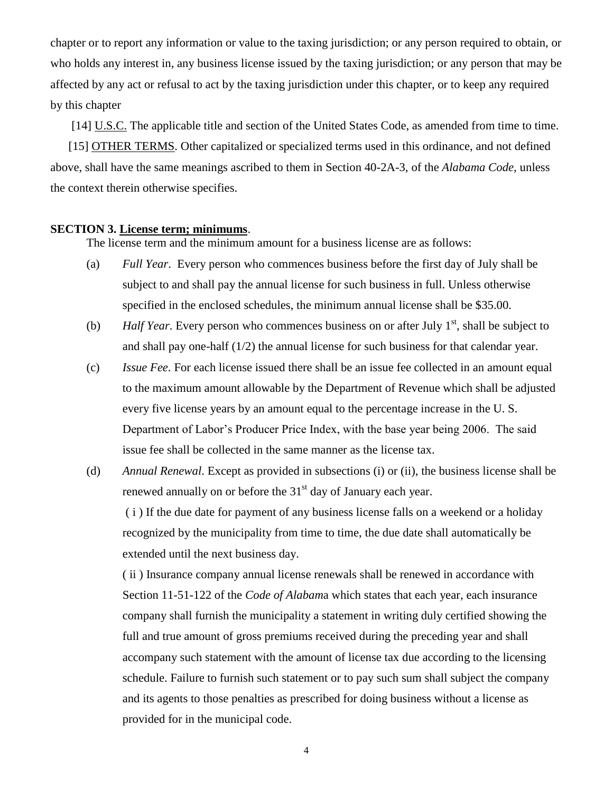chapter or to report any information or value to the taxing jurisdiction; or any person required to obtain, or who holds any interest in, any business license issued by the taxing jurisdiction; or any person that may be affected by any act or refusal to act by the taxing jurisdiction under this chapter, or to keep any required by this chapter

[14] U.S.C. The applicable title and section of the United States Code, as amended from time to time.

[15] OTHER TERMS. Other capitalized or specialized terms used in this ordinance, and not defined above, shall have the same meanings ascribed to them in Section 40-2A-3, of the *Alabama Code*, unless the context therein otherwise specifies.

### **SECTION 3. License term; minimums**.

The license term and the minimum amount for a business license are as follows:

- (a) *Full Year*. Every person who commences business before the first day of July shall be subject to and shall pay the annual license for such business in full. Unless otherwise specified in the enclosed schedules, the minimum annual license shall be \$35.00.
- (b) *Half Year*. Every person who commences business on or after July  $1<sup>st</sup>$ , shall be subject to and shall pay one-half (1/2) the annual license for such business for that calendar year.
- (c) *Issue Fee*. For each license issued there shall be an issue fee collected in an amount equal to the maximum amount allowable by the Department of Revenue which shall be adjusted every five license years by an amount equal to the percentage increase in the U. S. Department of Labor's Producer Price Index, with the base year being 2006. The said issue fee shall be collected in the same manner as the license tax.
- (d) *Annual Renewal*. Except as provided in subsections (i) or (ii), the business license shall be renewed annually on or before the 31<sup>st</sup> day of January each year.

( i ) If the due date for payment of any business license falls on a weekend or a holiday recognized by the municipality from time to time, the due date shall automatically be extended until the next business day.

( ii ) Insurance company annual license renewals shall be renewed in accordance with Section 11-51-122 of the *Code of Alabam*a which states that each year, each insurance company shall furnish the municipality a statement in writing duly certified showing the full and true amount of gross premiums received during the preceding year and shall accompany such statement with the amount of license tax due according to the licensing schedule. Failure to furnish such statement or to pay such sum shall subject the company and its agents to those penalties as prescribed for doing business without a license as provided for in the municipal code.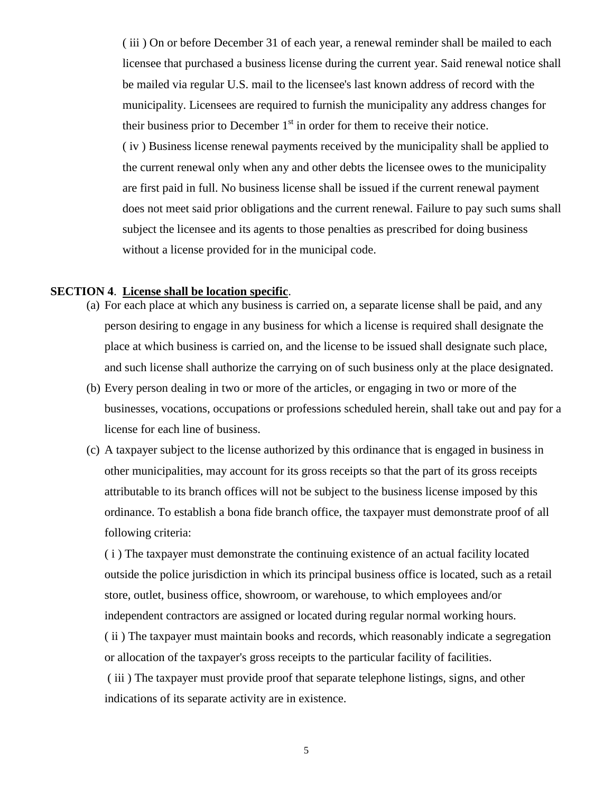( iii ) On or before December 31 of each year, a renewal reminder shall be mailed to each licensee that purchased a business license during the current year. Said renewal notice shall be mailed via regular U.S. mail to the licensee's last known address of record with the municipality. Licensees are required to furnish the municipality any address changes for their business prior to December  $1<sup>st</sup>$  in order for them to receive their notice. ( iv ) Business license renewal payments received by the municipality shall be applied to the current renewal only when any and other debts the licensee owes to the municipality are first paid in full. No business license shall be issued if the current renewal payment does not meet said prior obligations and the current renewal. Failure to pay such sums shall subject the licensee and its agents to those penalties as prescribed for doing business without a license provided for in the municipal code.

### **SECTION 4**. **License shall be location specific**.

- (a) For each place at which any business is carried on, a separate license shall be paid, and any person desiring to engage in any business for which a license is required shall designate the place at which business is carried on, and the license to be issued shall designate such place, and such license shall authorize the carrying on of such business only at the place designated.
- (b) Every person dealing in two or more of the articles, or engaging in two or more of the businesses, vocations, occupations or professions scheduled herein, shall take out and pay for a license for each line of business.
- (c) A taxpayer subject to the license authorized by this ordinance that is engaged in business in other municipalities, may account for its gross receipts so that the part of its gross receipts attributable to its branch offices will not be subject to the business license imposed by this ordinance. To establish a bona fide branch office, the taxpayer must demonstrate proof of all following criteria:

( i ) The taxpayer must demonstrate the continuing existence of an actual facility located outside the police jurisdiction in which its principal business office is located, such as a retail store, outlet, business office, showroom, or warehouse, to which employees and/or independent contractors are assigned or located during regular normal working hours.

( ii ) The taxpayer must maintain books and records, which reasonably indicate a segregation or allocation of the taxpayer's gross receipts to the particular facility of facilities.

( iii ) The taxpayer must provide proof that separate telephone listings, signs, and other indications of its separate activity are in existence.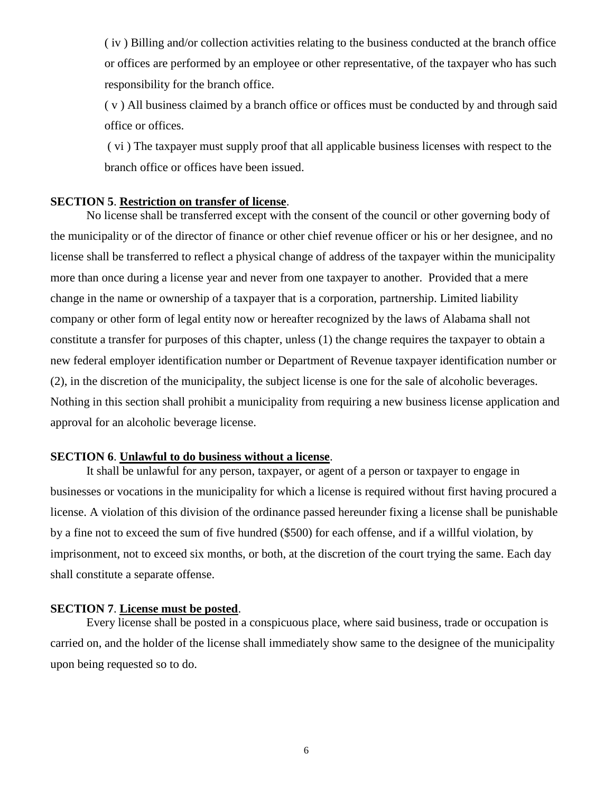( iv ) Billing and/or collection activities relating to the business conducted at the branch office or offices are performed by an employee or other representative, of the taxpayer who has such responsibility for the branch office.

( v ) All business claimed by a branch office or offices must be conducted by and through said office or offices.

( vi ) The taxpayer must supply proof that all applicable business licenses with respect to the branch office or offices have been issued.

### **SECTION 5**. **Restriction on transfer of license**.

No license shall be transferred except with the consent of the council or other governing body of the municipality or of the director of finance or other chief revenue officer or his or her designee, and no license shall be transferred to reflect a physical change of address of the taxpayer within the municipality more than once during a license year and never from one taxpayer to another. Provided that a mere change in the name or ownership of a taxpayer that is a corporation, partnership. Limited liability company or other form of legal entity now or hereafter recognized by the laws of Alabama shall not constitute a transfer for purposes of this chapter, unless (1) the change requires the taxpayer to obtain a new federal employer identification number or Department of Revenue taxpayer identification number or (2), in the discretion of the municipality, the subject license is one for the sale of alcoholic beverages. Nothing in this section shall prohibit a municipality from requiring a new business license application and approval for an alcoholic beverage license.

### **SECTION 6**. **Unlawful to do business without a license**.

It shall be unlawful for any person, taxpayer, or agent of a person or taxpayer to engage in businesses or vocations in the municipality for which a license is required without first having procured a license. A violation of this division of the ordinance passed hereunder fixing a license shall be punishable by a fine not to exceed the sum of five hundred (\$500) for each offense, and if a willful violation, by imprisonment, not to exceed six months, or both, at the discretion of the court trying the same. Each day shall constitute a separate offense.

#### **SECTION 7**. **License must be posted**.

Every license shall be posted in a conspicuous place, where said business, trade or occupation is carried on, and the holder of the license shall immediately show same to the designee of the municipality upon being requested so to do.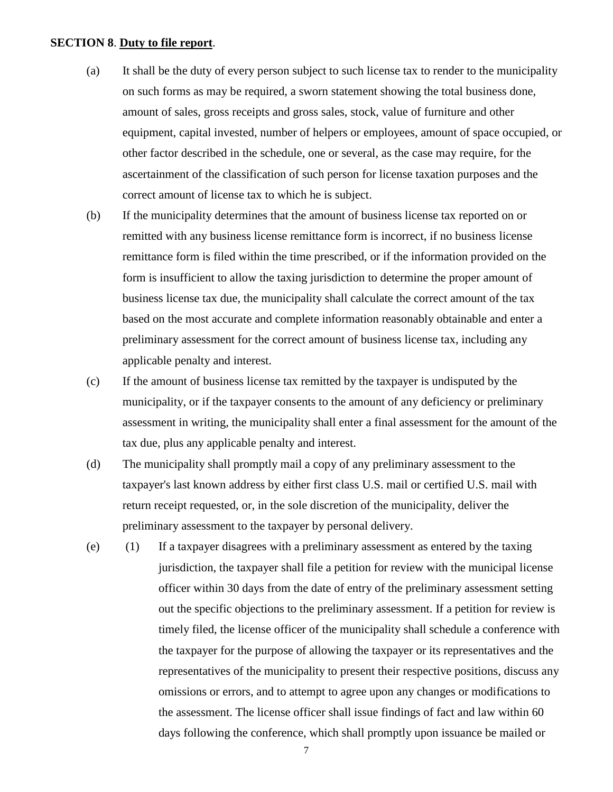### **SECTION 8**. **Duty to file report**.

- (a) It shall be the duty of every person subject to such license tax to render to the municipality on such forms as may be required, a sworn statement showing the total business done, amount of sales, gross receipts and gross sales, stock, value of furniture and other equipment, capital invested, number of helpers or employees, amount of space occupied, or other factor described in the schedule, one or several, as the case may require, for the ascertainment of the classification of such person for license taxation purposes and the correct amount of license tax to which he is subject.
- (b) If the municipality determines that the amount of business license tax reported on or remitted with any business license remittance form is incorrect, if no business license remittance form is filed within the time prescribed, or if the information provided on the form is insufficient to allow the taxing jurisdiction to determine the proper amount of business license tax due, the municipality shall calculate the correct amount of the tax based on the most accurate and complete information reasonably obtainable and enter a preliminary assessment for the correct amount of business license tax, including any applicable penalty and interest.
- (c) If the amount of business license tax remitted by the taxpayer is undisputed by the municipality, or if the taxpayer consents to the amount of any deficiency or preliminary assessment in writing, the municipality shall enter a final assessment for the amount of the tax due, plus any applicable penalty and interest.
- (d) The municipality shall promptly mail a copy of any preliminary assessment to the taxpayer's last known address by either first class U.S. mail or certified U.S. mail with return receipt requested, or, in the sole discretion of the municipality, deliver the preliminary assessment to the taxpayer by personal delivery.
- (e) (1) If a taxpayer disagrees with a preliminary assessment as entered by the taxing jurisdiction, the taxpayer shall file a petition for review with the municipal license officer within 30 days from the date of entry of the preliminary assessment setting out the specific objections to the preliminary assessment. If a petition for review is timely filed, the license officer of the municipality shall schedule a conference with the taxpayer for the purpose of allowing the taxpayer or its representatives and the representatives of the municipality to present their respective positions, discuss any omissions or errors, and to attempt to agree upon any changes or modifications to the assessment. The license officer shall issue findings of fact and law within 60 days following the conference, which shall promptly upon issuance be mailed or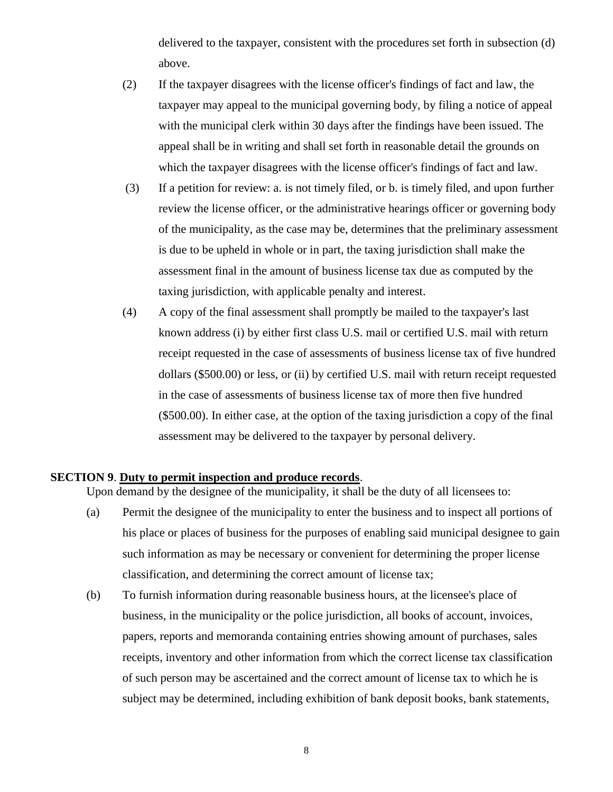delivered to the taxpayer, consistent with the procedures set forth in subsection (d) above.

- (2) If the taxpayer disagrees with the license officer's findings of fact and law, the taxpayer may appeal to the municipal governing body, by filing a notice of appeal with the municipal clerk within 30 days after the findings have been issued. The appeal shall be in writing and shall set forth in reasonable detail the grounds on which the taxpayer disagrees with the license officer's findings of fact and law.
- (3) If a petition for review: a. is not timely filed, or b. is timely filed, and upon further review the license officer, or the administrative hearings officer or governing body of the municipality, as the case may be, determines that the preliminary assessment is due to be upheld in whole or in part, the taxing jurisdiction shall make the assessment final in the amount of business license tax due as computed by the taxing jurisdiction, with applicable penalty and interest.
- (4) A copy of the final assessment shall promptly be mailed to the taxpayer's last known address (i) by either first class U.S. mail or certified U.S. mail with return receipt requested in the case of assessments of business license tax of five hundred dollars (\$500.00) or less, or (ii) by certified U.S. mail with return receipt requested in the case of assessments of business license tax of more then five hundred (\$500.00). In either case, at the option of the taxing jurisdiction a copy of the final assessment may be delivered to the taxpayer by personal delivery.

### **SECTION 9**. **Duty to permit inspection and produce records**.

Upon demand by the designee of the municipality, it shall be the duty of all licensees to:

- (a) Permit the designee of the municipality to enter the business and to inspect all portions of his place or places of business for the purposes of enabling said municipal designee to gain such information as may be necessary or convenient for determining the proper license classification, and determining the correct amount of license tax;
- (b) To furnish information during reasonable business hours, at the licensee's place of business, in the municipality or the police jurisdiction, all books of account, invoices, papers, reports and memoranda containing entries showing amount of purchases, sales receipts, inventory and other information from which the correct license tax classification of such person may be ascertained and the correct amount of license tax to which he is subject may be determined, including exhibition of bank deposit books, bank statements,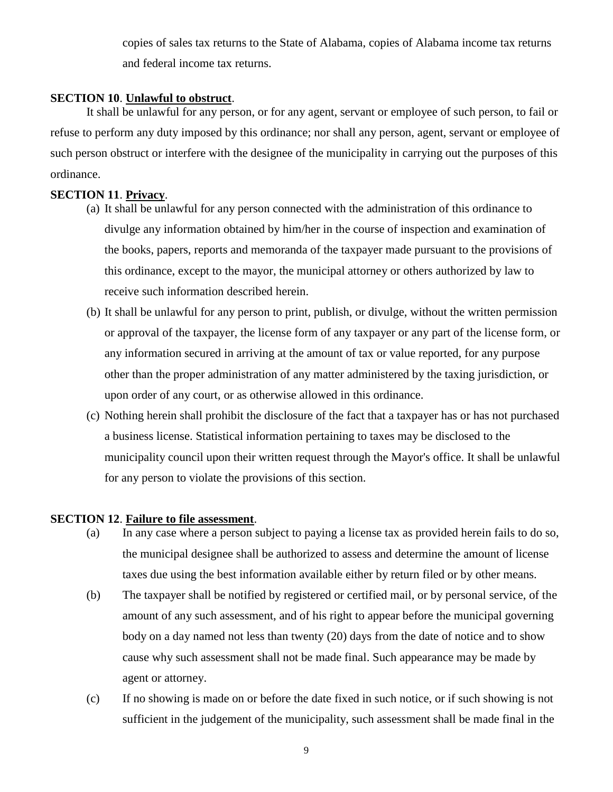copies of sales tax returns to the State of Alabama, copies of Alabama income tax returns and federal income tax returns.

### **SECTION 10**. **Unlawful to obstruct**.

It shall be unlawful for any person, or for any agent, servant or employee of such person, to fail or refuse to perform any duty imposed by this ordinance; nor shall any person, agent, servant or employee of such person obstruct or interfere with the designee of the municipality in carrying out the purposes of this ordinance.

### **SECTION 11**. **Privacy**.

- (a) It shall be unlawful for any person connected with the administration of this ordinance to divulge any information obtained by him/her in the course of inspection and examination of the books, papers, reports and memoranda of the taxpayer made pursuant to the provisions of this ordinance, except to the mayor, the municipal attorney or others authorized by law to receive such information described herein.
- (b) It shall be unlawful for any person to print, publish, or divulge, without the written permission or approval of the taxpayer, the license form of any taxpayer or any part of the license form, or any information secured in arriving at the amount of tax or value reported, for any purpose other than the proper administration of any matter administered by the taxing jurisdiction, or upon order of any court, or as otherwise allowed in this ordinance.
- (c) Nothing herein shall prohibit the disclosure of the fact that a taxpayer has or has not purchased a business license. Statistical information pertaining to taxes may be disclosed to the municipality council upon their written request through the Mayor's office. It shall be unlawful for any person to violate the provisions of this section.

### **SECTION 12**. **Failure to file assessment**.

- (a) In any case where a person subject to paying a license tax as provided herein fails to do so, the municipal designee shall be authorized to assess and determine the amount of license taxes due using the best information available either by return filed or by other means.
- (b) The taxpayer shall be notified by registered or certified mail, or by personal service, of the amount of any such assessment, and of his right to appear before the municipal governing body on a day named not less than twenty (20) days from the date of notice and to show cause why such assessment shall not be made final. Such appearance may be made by agent or attorney.
- (c) If no showing is made on or before the date fixed in such notice, or if such showing is not sufficient in the judgement of the municipality, such assessment shall be made final in the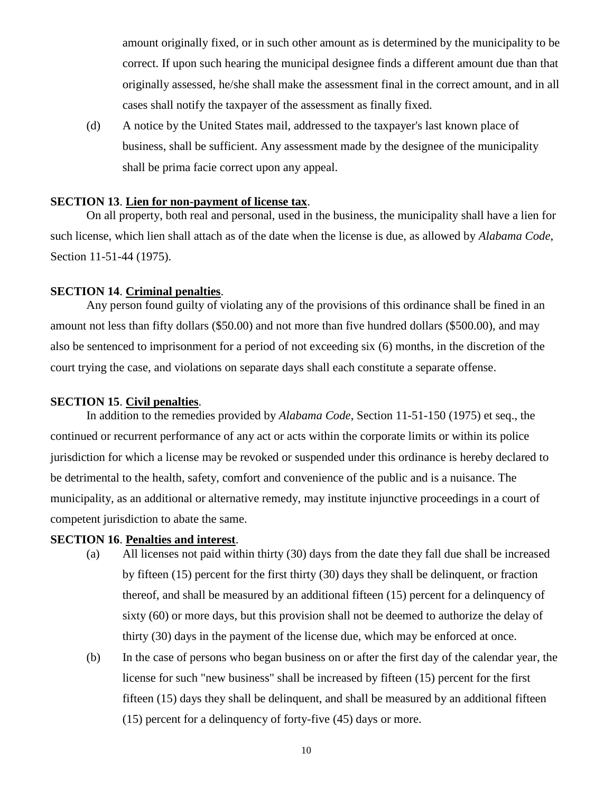amount originally fixed, or in such other amount as is determined by the municipality to be correct. If upon such hearing the municipal designee finds a different amount due than that originally assessed, he/she shall make the assessment final in the correct amount, and in all cases shall notify the taxpayer of the assessment as finally fixed.

(d) A notice by the United States mail, addressed to the taxpayer's last known place of business, shall be sufficient. Any assessment made by the designee of the municipality shall be prima facie correct upon any appeal.

### **SECTION 13**. **Lien for non-payment of license tax**.

On all property, both real and personal, used in the business, the municipality shall have a lien for such license, which lien shall attach as of the date when the license is due, as allowed by *Alabama Code*, Section 11-51-44 (1975).

### **SECTION 14**. **Criminal penalties**.

Any person found guilty of violating any of the provisions of this ordinance shall be fined in an amount not less than fifty dollars (\$50.00) and not more than five hundred dollars (\$500.00), and may also be sentenced to imprisonment for a period of not exceeding six (6) months, in the discretion of the court trying the case, and violations on separate days shall each constitute a separate offense.

### **SECTION 15**. **Civil penalties**.

In addition to the remedies provided by *Alabama Code*, Section 11-51-150 (1975) et seq., the continued or recurrent performance of any act or acts within the corporate limits or within its police jurisdiction for which a license may be revoked or suspended under this ordinance is hereby declared to be detrimental to the health, safety, comfort and convenience of the public and is a nuisance. The municipality, as an additional or alternative remedy, may institute injunctive proceedings in a court of competent jurisdiction to abate the same.

### **SECTION 16**. **Penalties and interest**.

- (a) All licenses not paid within thirty (30) days from the date they fall due shall be increased by fifteen (15) percent for the first thirty (30) days they shall be delinquent, or fraction thereof, and shall be measured by an additional fifteen (15) percent for a delinquency of sixty (60) or more days, but this provision shall not be deemed to authorize the delay of thirty (30) days in the payment of the license due, which may be enforced at once.
- (b) In the case of persons who began business on or after the first day of the calendar year, the license for such "new business" shall be increased by fifteen (15) percent for the first fifteen (15) days they shall be delinquent, and shall be measured by an additional fifteen (15) percent for a delinquency of forty-five (45) days or more.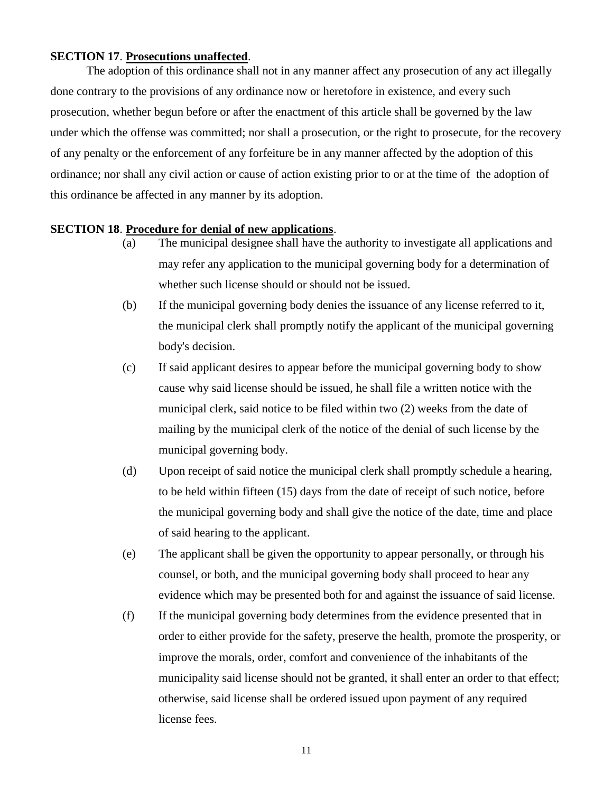### **SECTION 17**. **Prosecutions unaffected**.

The adoption of this ordinance shall not in any manner affect any prosecution of any act illegally done contrary to the provisions of any ordinance now or heretofore in existence, and every such prosecution, whether begun before or after the enactment of this article shall be governed by the law under which the offense was committed; nor shall a prosecution, or the right to prosecute, for the recovery of any penalty or the enforcement of any forfeiture be in any manner affected by the adoption of this ordinance; nor shall any civil action or cause of action existing prior to or at the time of the adoption of this ordinance be affected in any manner by its adoption.

### **SECTION 18**. **Procedure for denial of new applications**.

- (a) The municipal designee shall have the authority to investigate all applications and may refer any application to the municipal governing body for a determination of whether such license should or should not be issued.
- (b) If the municipal governing body denies the issuance of any license referred to it, the municipal clerk shall promptly notify the applicant of the municipal governing body's decision.
- (c) If said applicant desires to appear before the municipal governing body to show cause why said license should be issued, he shall file a written notice with the municipal clerk, said notice to be filed within two (2) weeks from the date of mailing by the municipal clerk of the notice of the denial of such license by the municipal governing body.
- (d) Upon receipt of said notice the municipal clerk shall promptly schedule a hearing, to be held within fifteen (15) days from the date of receipt of such notice, before the municipal governing body and shall give the notice of the date, time and place of said hearing to the applicant.
- (e) The applicant shall be given the opportunity to appear personally, or through his counsel, or both, and the municipal governing body shall proceed to hear any evidence which may be presented both for and against the issuance of said license.
- (f) If the municipal governing body determines from the evidence presented that in order to either provide for the safety, preserve the health, promote the prosperity, or improve the morals, order, comfort and convenience of the inhabitants of the municipality said license should not be granted, it shall enter an order to that effect; otherwise, said license shall be ordered issued upon payment of any required license fees.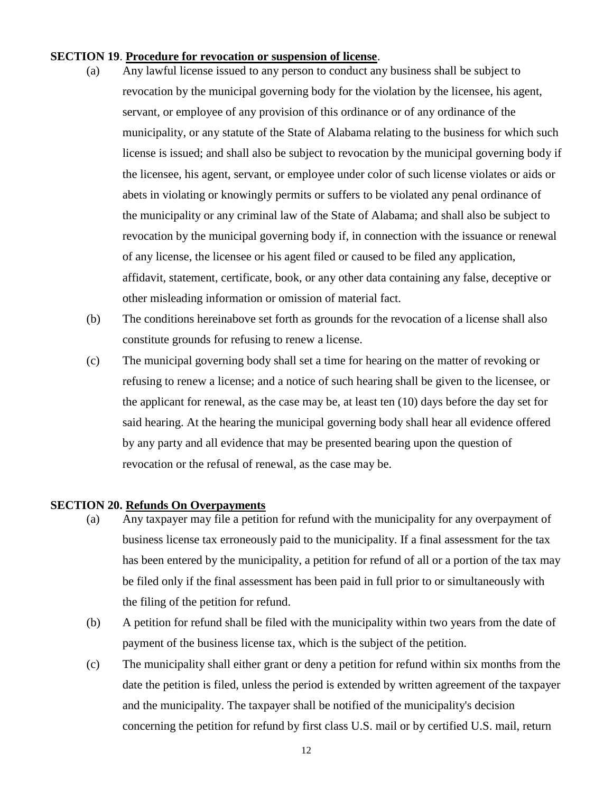### **SECTION 19**. **Procedure for revocation or suspension of license**.

- (a) Any lawful license issued to any person to conduct any business shall be subject to revocation by the municipal governing body for the violation by the licensee, his agent, servant, or employee of any provision of this ordinance or of any ordinance of the municipality, or any statute of the State of Alabama relating to the business for which such license is issued; and shall also be subject to revocation by the municipal governing body if the licensee, his agent, servant, or employee under color of such license violates or aids or abets in violating or knowingly permits or suffers to be violated any penal ordinance of the municipality or any criminal law of the State of Alabama; and shall also be subject to revocation by the municipal governing body if, in connection with the issuance or renewal of any license, the licensee or his agent filed or caused to be filed any application, affidavit, statement, certificate, book, or any other data containing any false, deceptive or other misleading information or omission of material fact.
- (b) The conditions hereinabove set forth as grounds for the revocation of a license shall also constitute grounds for refusing to renew a license.
- (c) The municipal governing body shall set a time for hearing on the matter of revoking or refusing to renew a license; and a notice of such hearing shall be given to the licensee, or the applicant for renewal, as the case may be, at least ten (10) days before the day set for said hearing. At the hearing the municipal governing body shall hear all evidence offered by any party and all evidence that may be presented bearing upon the question of revocation or the refusal of renewal, as the case may be.

### **SECTION 20. Refunds On Overpayments**

- (a) Any taxpayer may file a petition for refund with the municipality for any overpayment of business license tax erroneously paid to the municipality. If a final assessment for the tax has been entered by the municipality, a petition for refund of all or a portion of the tax may be filed only if the final assessment has been paid in full prior to or simultaneously with the filing of the petition for refund.
- (b) A petition for refund shall be filed with the municipality within two years from the date of payment of the business license tax, which is the subject of the petition.
- (c) The municipality shall either grant or deny a petition for refund within six months from the date the petition is filed, unless the period is extended by written agreement of the taxpayer and the municipality. The taxpayer shall be notified of the municipality's decision concerning the petition for refund by first class U.S. mail or by certified U.S. mail, return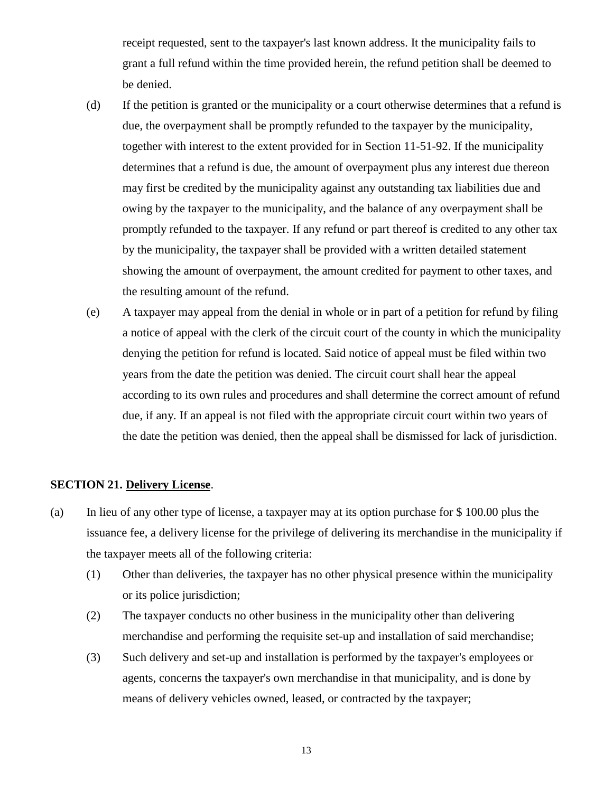receipt requested, sent to the taxpayer's last known address. It the municipality fails to grant a full refund within the time provided herein, the refund petition shall be deemed to be denied.

- (d) If the petition is granted or the municipality or a court otherwise determines that a refund is due, the overpayment shall be promptly refunded to the taxpayer by the municipality, together with interest to the extent provided for in Section 11-51-92. If the municipality determines that a refund is due, the amount of overpayment plus any interest due thereon may first be credited by the municipality against any outstanding tax liabilities due and owing by the taxpayer to the municipality, and the balance of any overpayment shall be promptly refunded to the taxpayer. If any refund or part thereof is credited to any other tax by the municipality, the taxpayer shall be provided with a written detailed statement showing the amount of overpayment, the amount credited for payment to other taxes, and the resulting amount of the refund.
- (e) A taxpayer may appeal from the denial in whole or in part of a petition for refund by filing a notice of appeal with the clerk of the circuit court of the county in which the municipality denying the petition for refund is located. Said notice of appeal must be filed within two years from the date the petition was denied. The circuit court shall hear the appeal according to its own rules and procedures and shall determine the correct amount of refund due, if any. If an appeal is not filed with the appropriate circuit court within two years of the date the petition was denied, then the appeal shall be dismissed for lack of jurisdiction.

### **SECTION 21. Delivery License**.

- (a) In lieu of any other type of license, a taxpayer may at its option purchase for \$ 100.00 plus the issuance fee, a delivery license for the privilege of delivering its merchandise in the municipality if the taxpayer meets all of the following criteria:
	- (1) Other than deliveries, the taxpayer has no other physical presence within the municipality or its police jurisdiction;
	- (2) The taxpayer conducts no other business in the municipality other than delivering merchandise and performing the requisite set-up and installation of said merchandise;
	- (3) Such delivery and set-up and installation is performed by the taxpayer's employees or agents, concerns the taxpayer's own merchandise in that municipality, and is done by means of delivery vehicles owned, leased, or contracted by the taxpayer;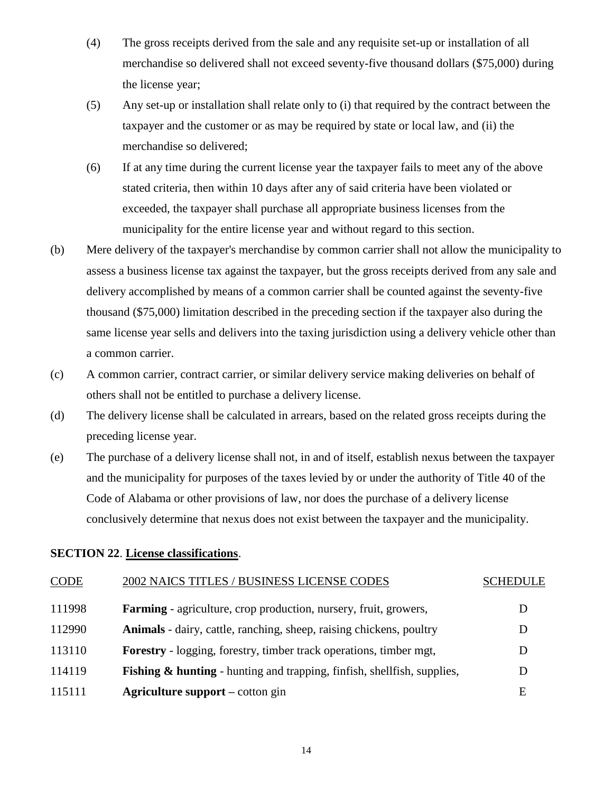- (4) The gross receipts derived from the sale and any requisite set-up or installation of all merchandise so delivered shall not exceed seventy-five thousand dollars (\$75,000) during the license year;
- (5) Any set-up or installation shall relate only to (i) that required by the contract between the taxpayer and the customer or as may be required by state or local law, and (ii) the merchandise so delivered;
- (6) If at any time during the current license year the taxpayer fails to meet any of the above stated criteria, then within 10 days after any of said criteria have been violated or exceeded, the taxpayer shall purchase all appropriate business licenses from the municipality for the entire license year and without regard to this section.
- (b) Mere delivery of the taxpayer's merchandise by common carrier shall not allow the municipality to assess a business license tax against the taxpayer, but the gross receipts derived from any sale and delivery accomplished by means of a common carrier shall be counted against the seventy-five thousand (\$75,000) limitation described in the preceding section if the taxpayer also during the same license year sells and delivers into the taxing jurisdiction using a delivery vehicle other than a common carrier.
- (c) A common carrier, contract carrier, or similar delivery service making deliveries on behalf of others shall not be entitled to purchase a delivery license.
- (d) The delivery license shall be calculated in arrears, based on the related gross receipts during the preceding license year.
- (e) The purchase of a delivery license shall not, in and of itself, establish nexus between the taxpayer and the municipality for purposes of the taxes levied by or under the authority of Title 40 of the Code of Alabama or other provisions of law, nor does the purchase of a delivery license conclusively determine that nexus does not exist between the taxpayer and the municipality.

### **SECTION 22**. **License classifications**.

| <b>CODE</b> | 2002 NAICS TITLES / BUSINESS LICENSE CODES                                         | <b>SCHEDULE</b> |
|-------------|------------------------------------------------------------------------------------|-----------------|
| 111998      | <b>Farming</b> - agriculture, crop production, nursery, fruit, growers,            |                 |
| 112990      | <b>Animals</b> - dairy, cattle, ranching, sheep, raising chickens, poultry         |                 |
| 113110      | <b>Forestry</b> - logging, forestry, timber track operations, timber mgt,          | D               |
| 114119      | <b>Fishing &amp; hunting</b> - hunting and trapping, finfish, shellfish, supplies, | D               |
| 115111      | <b>Agriculture support</b> – cotton gin                                            | E               |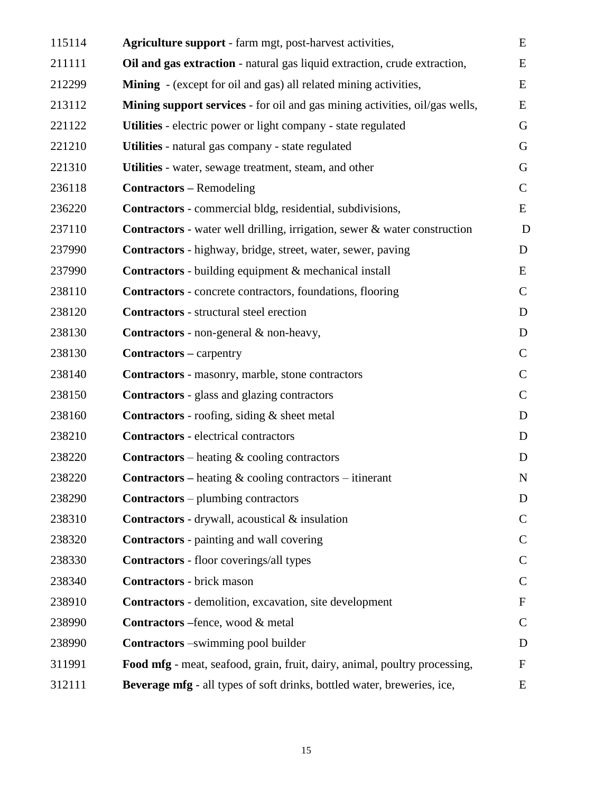| 115114 | <b>Agriculture support</b> - farm mgt, post-harvest activities,                  | E             |
|--------|----------------------------------------------------------------------------------|---------------|
| 211111 | Oil and gas extraction - natural gas liquid extraction, crude extraction,        | E             |
| 212299 | <b>Mining</b> - (except for oil and gas) all related mining activities,          | E             |
| 213112 | Mining support services - for oil and gas mining activities, oil/gas wells,      | E             |
| 221122 | Utilities - electric power or light company - state regulated                    | G             |
| 221210 | Utilities - natural gas company - state regulated                                | G             |
| 221310 | Utilities - water, sewage treatment, steam, and other                            | G             |
| 236118 | <b>Contractors</b> – Remodeling                                                  | $\mathsf{C}$  |
| 236220 | <b>Contractors</b> - commercial bldg, residential, subdivisions,                 | E             |
| 237110 | <b>Contractors</b> - water well drilling, irrigation, sewer & water construction | D             |
| 237990 | <b>Contractors</b> - highway, bridge, street, water, sewer, paving               | D             |
| 237990 | <b>Contractors</b> - building equipment & mechanical install                     | E             |
| 238110 | <b>Contractors</b> - concrete contractors, foundations, flooring                 | $\mathbf C$   |
| 238120 | <b>Contractors</b> - structural steel erection                                   | D             |
| 238130 | Contractors - non-general & non-heavy,                                           | D             |
| 238130 | <b>Contractors</b> – carpentry                                                   | $\mathsf{C}$  |
| 238140 | Contractors - masonry, marble, stone contractors                                 | $\mathsf{C}$  |
| 238150 | <b>Contractors</b> - glass and glazing contractors                               | $\mathbf C$   |
| 238160 | <b>Contractors</b> - roofing, siding $\&$ sheet metal                            | D             |
| 238210 | <b>Contractors</b> - electrical contractors                                      | D             |
| 238220 | <b>Contractors</b> – heating $\&$ cooling contractors                            | D             |
| 238220 | <b>Contractors</b> – heating $\&$ cooling contractors – itinerant                | N             |
| 238290 | <b>Contractors</b> – plumbing contractors                                        | D             |
| 238310 | <b>Contractors</b> - drywall, acoustical & insulation                            | $\mathsf{C}$  |
| 238320 | <b>Contractors</b> - painting and wall covering                                  | $\mathcal{C}$ |
| 238330 | <b>Contractors</b> - floor coverings/all types                                   | $\mathsf{C}$  |
| 238340 | <b>Contractors</b> - brick mason                                                 | $\mathbf C$   |
| 238910 | Contractors - demolition, excavation, site development                           | $\mathbf F$   |
| 238990 | <b>Contractors</b> – fence, wood & metal                                         | $\mathcal{C}$ |
| 238990 | <b>Contractors</b> –swimming pool builder                                        | D             |
| 311991 | Food mfg - meat, seafood, grain, fruit, dairy, animal, poultry processing,       | F             |
| 312111 | Beverage mfg - all types of soft drinks, bottled water, breweries, ice,          | E             |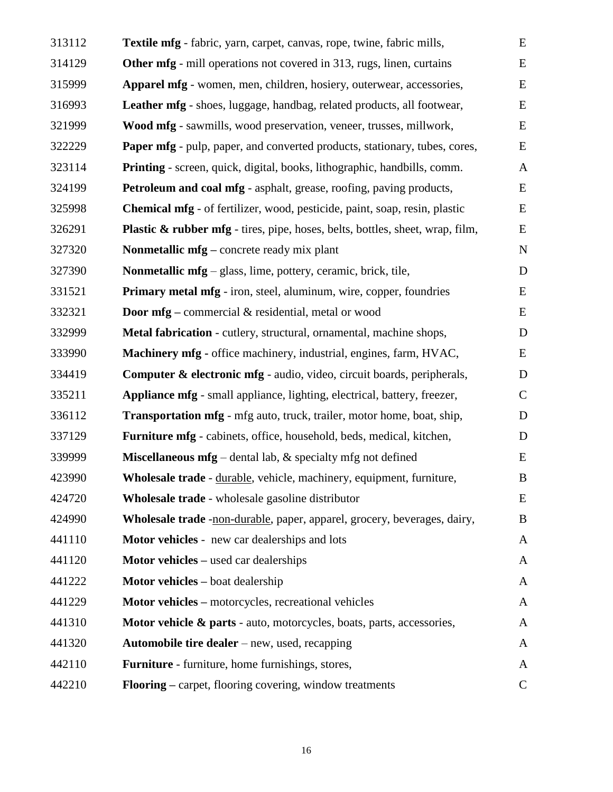| 313112 | Textile mfg - fabric, yarn, carpet, canvas, rope, twine, fabric mills,                   | E            |
|--------|------------------------------------------------------------------------------------------|--------------|
| 314129 | <b>Other mfg</b> - mill operations not covered in 313, rugs, linen, curtains             | E            |
| 315999 | Apparel mfg - women, men, children, hosiery, outerwear, accessories,                     | E            |
| 316993 | Leather mfg - shoes, luggage, handbag, related products, all footwear,                   | ${\bf E}$    |
| 321999 | Wood mfg - sawmills, wood preservation, veneer, trusses, millwork,                       | E            |
| 322229 | Paper mfg - pulp, paper, and converted products, stationary, tubes, cores,               | ${\bf E}$    |
| 323114 | <b>Printing</b> - screen, quick, digital, books, lithographic, handbills, comm.          | $\mathbf{A}$ |
| 324199 | Petroleum and coal mfg - asphalt, grease, roofing, paving products,                      | E            |
| 325998 | Chemical mfg - of fertilizer, wood, pesticide, paint, soap, resin, plastic               | E            |
| 326291 | <b>Plastic &amp; rubber mfg</b> - tires, pipe, hoses, belts, bottles, sheet, wrap, film, | E            |
| 327320 | Nonmetallic mfg – concrete ready mix plant                                               | $\mathbf N$  |
| 327390 | Nonmetallic mfg – glass, lime, pottery, ceramic, brick, tile,                            | D            |
| 331521 | Primary metal mfg - iron, steel, aluminum, wire, copper, foundries                       | E            |
| 332321 | <b>Door mfg</b> – commercial $\&$ residential, metal or wood                             | E            |
| 332999 | Metal fabrication - cutlery, structural, ornamental, machine shops,                      | $\mathbf D$  |
| 333990 | Machinery mfg - office machinery, industrial, engines, farm, HVAC,                       | E            |
| 334419 | Computer & electronic mfg - audio, video, circuit boards, peripherals,                   | D            |
| 335211 | Appliance mfg - small appliance, lighting, electrical, battery, freezer,                 | $\mathsf{C}$ |
| 336112 | Transportation mfg - mfg auto, truck, trailer, motor home, boat, ship,                   | D            |
| 337129 | Furniture mfg - cabinets, office, household, beds, medical, kitchen,                     | D            |
| 339999 | <b>Miscellaneous mfg</b> – dental lab, $\&$ specialty mfg not defined                    | E            |
| 423990 | Wholesale trade - durable, vehicle, machinery, equipment, furniture,                     | B            |
| 424720 | Wholesale trade - wholesale gasoline distributor                                         | E            |
| 424990 | Wholesale trade -non-durable, paper, apparel, grocery, beverages, dairy,                 | B            |
| 441110 | Motor vehicles - new car dealerships and lots                                            | A            |
| 441120 | <b>Motor vehicles</b> – used car dealerships                                             | A            |
| 441222 | Motor vehicles - boat dealership                                                         | $\mathbf{A}$ |
| 441229 | <b>Motor vehicles</b> – motorcycles, recreational vehicles                               | A            |
| 441310 | <b>Motor vehicle &amp; parts</b> - auto, motorcycles, boats, parts, accessories,         | A            |
| 441320 | <b>Automobile tire dealer</b> – new, used, recapping                                     | A            |
| 442110 | Furniture - furniture, home furnishings, stores,                                         | A            |
| 442210 | <b>Flooring</b> – carpet, flooring covering, window treatments                           | $\mathbf C$  |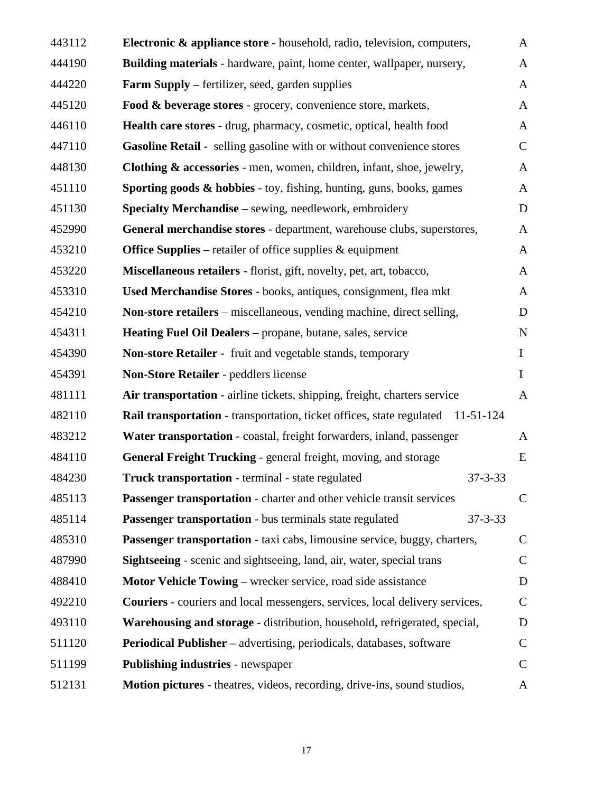| 443112 | Electronic & appliance store - household, radio, television, computers,                |               | $\mathbf{A}$  |
|--------|----------------------------------------------------------------------------------------|---------------|---------------|
| 444190 | Building materials - hardware, paint, home center, wallpaper, nursery,                 |               | $\mathbf{A}$  |
| 444220 | <b>Farm Supply –</b> fertilizer, seed, garden supplies                                 |               | $\mathbf{A}$  |
| 445120 | Food & beverage stores - grocery, convenience store, markets,                          |               | $\mathbf{A}$  |
| 446110 | Health care stores - drug, pharmacy, cosmetic, optical, health food                    |               | $\mathbf{A}$  |
| 447110 | Gasoline Retail - selling gasoline with or without convenience stores                  |               | $\mathbf C$   |
| 448130 | <b>Clothing &amp; accessories</b> - men, women, children, infant, shoe, jewelry,       |               | $\mathbf{A}$  |
| 451110 | Sporting goods & hobbies - toy, fishing, hunting, guns, books, games                   |               | $\mathbf{A}$  |
| 451130 | <b>Specialty Merchandise</b> – sewing, needlework, embroidery                          |               | D             |
| 452990 | General merchandise stores - department, warehouse clubs, superstores,                 |               | $\mathbf{A}$  |
| 453210 | <b>Office Supplies – retailer of office supplies &amp; equipment</b>                   |               | $\mathbf{A}$  |
| 453220 | Miscellaneous retailers - florist, gift, novelty, pet, art, tobacco,                   |               | $\mathbf{A}$  |
| 453310 | Used Merchandise Stores - books, antiques, consignment, flea mkt                       |               | $\mathbf{A}$  |
| 454210 | <b>Non-store retailers</b> – miscellaneous, vending machine, direct selling,           |               | D             |
| 454311 | Heating Fuel Oil Dealers – propane, butane, sales, service                             |               | $\mathbf N$   |
| 454390 | Non-store Retailer - fruit and vegetable stands, temporary                             |               | $\bf{I}$      |
| 454391 | Non-Store Retailer - peddlers license                                                  |               | $\mathbf I$   |
| 481111 | Air transportation - airline tickets, shipping, freight, charters service              |               | $\mathbf{A}$  |
| 482110 | <b>Rail transportation</b> - transportation, ticket offices, state regulated 11-51-124 |               |               |
| 483212 | Water transportation - coastal, freight forwarders, inland, passenger                  |               | A             |
| 484110 | General Freight Trucking - general freight, moving, and storage                        |               | E             |
| 484230 | <b>Truck transportation</b> - terminal - state regulated                               | $37 - 3 - 33$ |               |
| 485113 | <b>Passenger transportation</b> - charter and other vehicle transit services           |               | $\mathbf C$   |
| 485114 | Passenger transportation - bus terminals state regulated                               | $37 - 3 - 33$ |               |
| 485310 | Passenger transportation - taxi cabs, limousine service, buggy, charters,              |               | $\mathcal{C}$ |
| 487990 | Sightseeing - scenic and sightseeing, land, air, water, special trans                  |               | $\mathbf C$   |
| 488410 | Motor Vehicle Towing – wrecker service, road side assistance                           |               | D             |
| 492210 | <b>Couriers</b> - couriers and local messengers, services, local delivery services,    |               | $\mathbf C$   |
| 493110 | Warehousing and storage - distribution, household, refrigerated, special,              |               | D             |
| 511120 | <b>Periodical Publisher</b> – advertising, periodicals, databases, software            |               | $\mathcal{C}$ |
| 511199 | <b>Publishing industries - newspaper</b>                                               |               | $\mathsf{C}$  |
| 512131 | Motion pictures - theatres, videos, recording, drive-ins, sound studios,               |               | A             |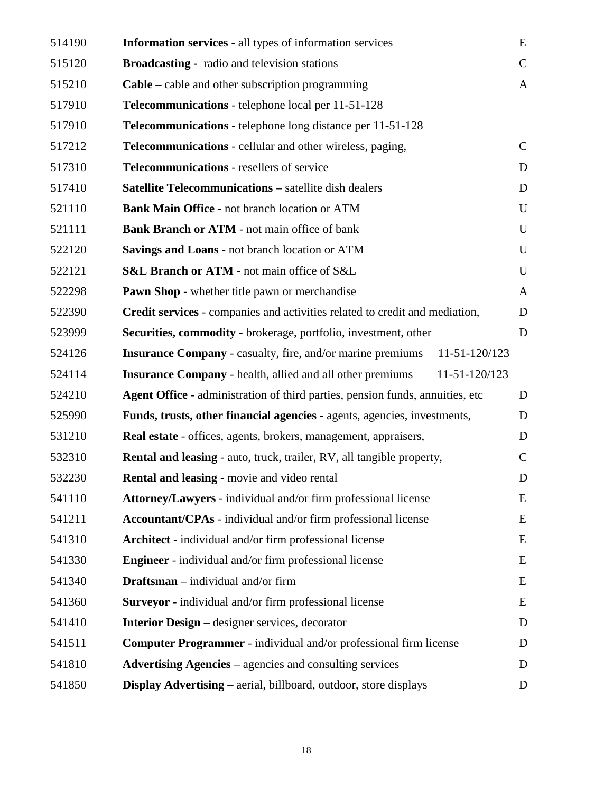| 514190 | <b>Information services</b> - all types of information services                    | E             |
|--------|------------------------------------------------------------------------------------|---------------|
| 515120 | <b>Broadcasting - radio and television stations</b>                                | $\mathsf{C}$  |
| 515210 | $Cable – cable and other subscription programming$                                 | A             |
| 517910 | Telecommunications - telephone local per 11-51-128                                 |               |
| 517910 | <b>Telecommunications</b> - telephone long distance per 11-51-128                  |               |
| 517212 | <b>Telecommunications</b> - cellular and other wireless, paging,                   | $\mathsf{C}$  |
| 517310 | Telecommunications - resellers of service                                          | D             |
| 517410 | <b>Satellite Telecommunications - satellite dish dealers</b>                       | D             |
| 521110 | Bank Main Office - not branch location or ATM                                      | U             |
| 521111 | <b>Bank Branch or ATM - not main office of bank</b>                                | $\mathbf U$   |
| 522120 | Savings and Loans - not branch location or ATM                                     | U             |
| 522121 | S&L Branch or ATM - not main office of S&L                                         | $\mathbf U$   |
| 522298 | <b>Pawn Shop</b> - whether title pawn or merchandise                               | $\mathbf{A}$  |
| 522390 | Credit services - companies and activities related to credit and mediation,        | D             |
| 523999 | Securities, commodity - brokerage, portfolio, investment, other                    | D             |
| 524126 | <b>Insurance Company</b> - casualty, fire, and/or marine premiums<br>11-51-120/123 |               |
| 524114 | 11-51-120/123<br><b>Insurance Company</b> - health, allied and all other premiums  |               |
| 524210 | Agent Office - administration of third parties, pension funds, annuities, etc      | D             |
| 525990 | Funds, trusts, other financial agencies - agents, agencies, investments,           | D             |
| 531210 | Real estate - offices, agents, brokers, management, appraisers,                    | D             |
| 532310 | <b>Rental and leasing - auto, truck, trailer, RV, all tangible property,</b>       | $\mathcal{C}$ |
| 532230 | Rental and leasing - movie and video rental                                        | D             |
| 541110 | Attorney/Lawyers - individual and/or firm professional license                     | E             |
| 541211 | Accountant/CPAs - individual and/or firm professional license                      | E             |
| 541310 | <b>Architect</b> - individual and/or firm professional license                     | E             |
| 541330 | <b>Engineer</b> - individual and/or firm professional license                      | E             |
| 541340 | <b>Draftsman</b> – individual and/or firm                                          | E             |
| 541360 | Surveyor - individual and/or firm professional license                             | E             |
| 541410 | <b>Interior Design – designer services, decorator</b>                              | D             |
| 541511 | <b>Computer Programmer</b> - individual and/or professional firm license           | D             |
| 541810 | <b>Advertising Agencies – agencies and consulting services</b>                     | D             |
| 541850 | Display Advertising - aerial, billboard, outdoor, store displays                   | D             |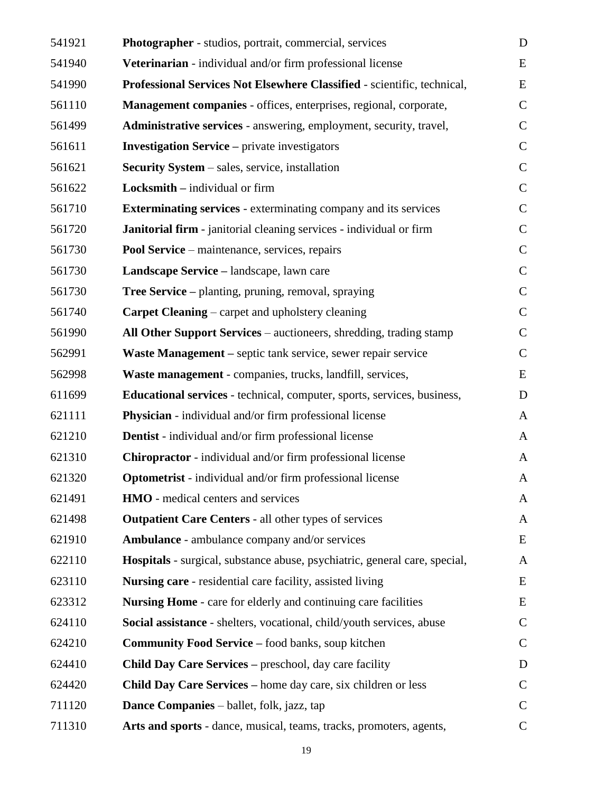| 541921 | Photographer - studios, portrait, commercial, services                         | D             |
|--------|--------------------------------------------------------------------------------|---------------|
| 541940 | Veterinarian - individual and/or firm professional license                     | E             |
| 541990 | Professional Services Not Elsewhere Classified - scientific, technical,        | E             |
| 561110 | Management companies - offices, enterprises, regional, corporate,              | $\mathbf C$   |
| 561499 | Administrative services - answering, employment, security, travel,             | $\mathbf C$   |
| 561611 | <b>Investigation Service</b> – private investigators                           | $\mathsf{C}$  |
| 561621 | <b>Security System – sales, service, installation</b>                          | $\mathsf{C}$  |
| 561622 | <b>Locksmith</b> $-$ individual or firm                                        | $\mathbf C$   |
| 561710 | <b>Exterminating services</b> - exterminating company and its services         | $\mathbf C$   |
| 561720 | Janitorial firm - janitorial cleaning services - individual or firm            | $\mathbf C$   |
| 561730 | Pool Service – maintenance, services, repairs                                  | $\mathsf{C}$  |
| 561730 | Landscape Service - landscape, lawn care                                       | $\mathsf{C}$  |
| 561730 | <b>Tree Service</b> – planting, pruning, removal, spraying                     | $\mathsf{C}$  |
| 561740 | <b>Carpet Cleaning – carpet and upholstery cleaning</b>                        | $\mathsf{C}$  |
| 561990 | All Other Support Services – auctioneers, shredding, trading stamp             | $\mathbf C$   |
| 562991 | Waste Management – septic tank service, sewer repair service                   | $\mathbf C$   |
| 562998 | Waste management - companies, trucks, landfill, services,                      | E             |
| 611699 | <b>Educational services</b> - technical, computer, sports, services, business, | D             |
| 621111 | <b>Physician</b> - individual and/or firm professional license                 | $\mathbf{A}$  |
| 621210 | <b>Dentist</b> - individual and/or firm professional license                   | $\mathbf{A}$  |
| 621310 | <b>Chiropractor</b> - individual and/or firm professional license              | $\mathbf{A}$  |
| 621320 | <b>Optometrist</b> - individual and/or firm professional license               | A             |
| 621491 | <b>HMO</b> - medical centers and services                                      | A             |
| 621498 | <b>Outpatient Care Centers - all other types of services</b>                   | A             |
| 621910 | <b>Ambulance</b> - ambulance company and/or services                           | E             |
| 622110 | Hospitals - surgical, substance abuse, psychiatric, general care, special,     | $\mathbf{A}$  |
| 623110 | <b>Nursing care</b> - residential care facility, assisted living               | E             |
| 623312 | <b>Nursing Home - care for elderly and continuing care facilities</b>          | E             |
| 624110 | Social assistance - shelters, vocational, child/youth services, abuse          | $\mathcal{C}$ |
| 624210 | <b>Community Food Service - food banks, soup kitchen</b>                       | $\mathbf C$   |
| 624410 | Child Day Care Services – preschool, day care facility                         | D             |
| 624420 | <b>Child Day Care Services – home day care, six children or less</b>           | $\mathbf C$   |
| 711120 | <b>Dance Companies</b> – ballet, folk, jazz, tap                               | $\mathsf{C}$  |
| 711310 | Arts and sports - dance, musical, teams, tracks, promoters, agents,            | $\mathsf{C}$  |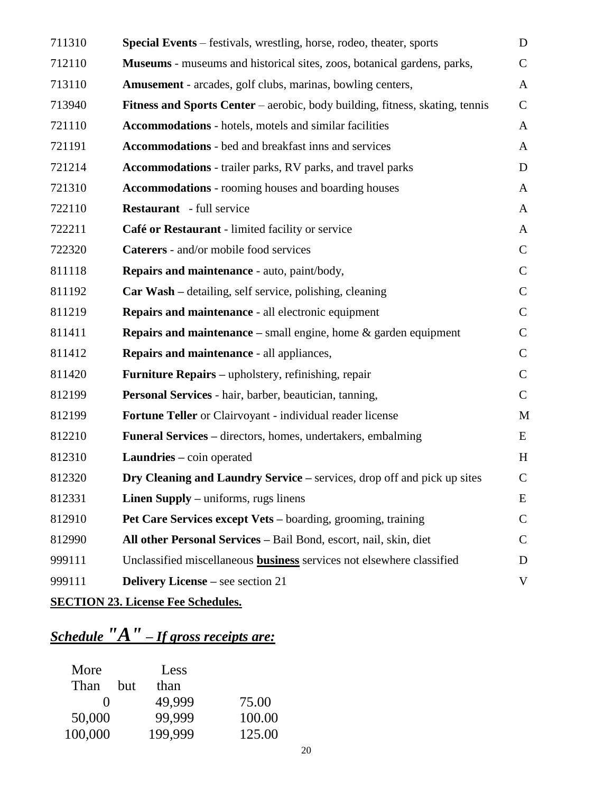| 711310 | Special Events – festivals, wrestling, horse, rodeo, theater, sports                | D             |
|--------|-------------------------------------------------------------------------------------|---------------|
| 712110 | <b>Museums</b> - museums and historical sites, zoos, botanical gardens, parks,      | $\mathbf C$   |
| 713110 | <b>Amusement</b> - arcades, golf clubs, marinas, bowling centers,                   | $\mathbf{A}$  |
| 713940 | <b>Fitness and Sports Center</b> – aerobic, body building, fitness, skating, tennis | $\mathbf C$   |
| 721110 | Accommodations - hotels, motels and similar facilities                              | $\mathbf{A}$  |
| 721191 | Accommodations - bed and breakfast inns and services                                | A             |
| 721214 | Accommodations - trailer parks, RV parks, and travel parks                          | D             |
| 721310 | <b>Accommodations</b> - rooming houses and boarding houses                          | $\mathbf{A}$  |
| 722110 | <b>Restaurant</b> - full service                                                    | $\mathbf{A}$  |
| 722211 | Café or Restaurant - limited facility or service                                    | $\mathbf{A}$  |
| 722320 | <b>Caterers</b> - and/or mobile food services                                       | $\mathbf C$   |
| 811118 | Repairs and maintenance - auto, paint/body,                                         | $\mathsf{C}$  |
| 811192 | <b>Car Wash</b> – detailing, self service, polishing, cleaning                      | $\mathbf C$   |
| 811219 | Repairs and maintenance - all electronic equipment                                  | $\mathsf{C}$  |
| 811411 | <b>Repairs and maintenance</b> – small engine, home $\&$ garden equipment           | $\mathbf C$   |
| 811412 | Repairs and maintenance - all appliances,                                           | $\mathbf C$   |
| 811420 | <b>Furniture Repairs</b> – upholstery, refinishing, repair                          | $\mathsf{C}$  |
| 812199 | Personal Services - hair, barber, beautician, tanning,                              | $\mathsf{C}$  |
| 812199 | Fortune Teller or Clairvoyant - individual reader license                           | M             |
| 812210 | Funeral Services - directors, homes, undertakers, embalming                         | E             |
| 812310 | <b>Laundries</b> – coin operated                                                    | H             |
| 812320 | Dry Cleaning and Laundry Service – services, drop off and pick up sites             | $\mathsf C$   |
| 812331 | <b>Linen Supply</b> – uniforms, rugs linens                                         | E             |
| 812910 | Pet Care Services except Vets – boarding, grooming, training                        | $\mathbf C$   |
| 812990 | All other Personal Services - Bail Bond, escort, nail, skin, diet                   | $\mathcal{C}$ |
| 999111 | Unclassified miscellaneous business services not elsewhere classified               | D             |
| 999111 | <b>Delivery License</b> – see section 21                                            | V             |
|        |                                                                                     |               |

# **SECTION 23. License Fee Schedules.**

# *Schedule "A" – If gross receipts are:*

| More    |     | Less    |        |
|---------|-----|---------|--------|
| Than    | but | than    |        |
|         |     | 49.999  | 75.00  |
| 50,000  |     | 99,999  | 100.00 |
| 100,000 |     | 199,999 | 125.00 |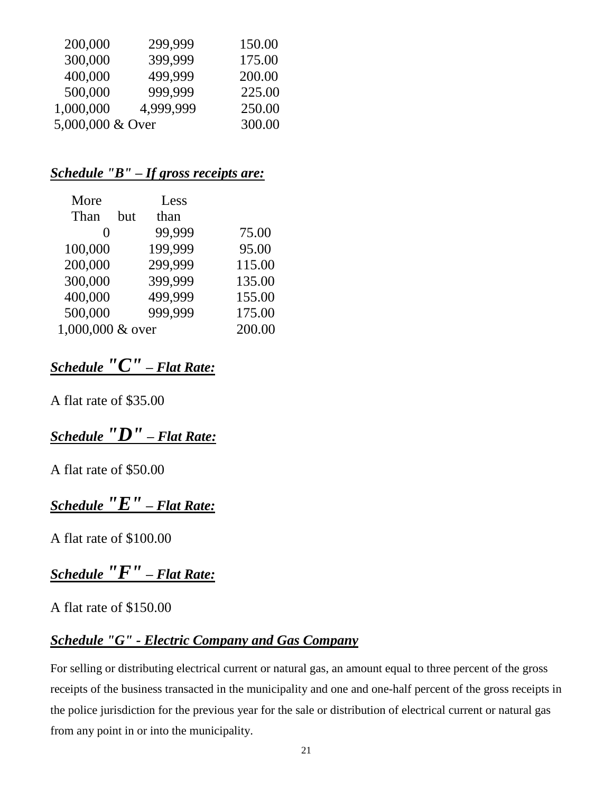| 200,000          | 299,999   | 150.00 |
|------------------|-----------|--------|
| 300,000          | 399,999   | 175.00 |
| 400,000          | 499,999   | 200.00 |
| 500,000          | 999,999   | 225.00 |
| 1,000,000        | 4,999,999 | 250.00 |
| 5,000,000 & Over |           | 300.00 |

# *Schedule "B" – If gross receipts are:*

| More             |     | Less    |        |
|------------------|-----|---------|--------|
| Than             | but | than    |        |
|                  |     | 99,999  | 75.00  |
| 100,000          |     | 199,999 | 95.00  |
| 200,000          |     | 299,999 | 115.00 |
| 300,000          |     | 399,999 | 135.00 |
| 400,000          |     | 499,999 | 155.00 |
| 500,000          |     | 999,999 | 175.00 |
| 1,000,000 & over |     |         | 200.00 |

# *Schedule "C" – Flat Rate:*

A flat rate of \$35.00

# *Schedule "D" – Flat Rate:*

A flat rate of \$50.00

# *Schedule "E" – Flat Rate:*

A flat rate of \$100.00

*Schedule "F" – Flat Rate:*

### A flat rate of \$150.00

# *Schedule "G" - Electric Company and Gas Company*

For selling or distributing electrical current or natural gas, an amount equal to three percent of the gross receipts of the business transacted in the municipality and one and one-half percent of the gross receipts in the police jurisdiction for the previous year for the sale or distribution of electrical current or natural gas from any point in or into the municipality.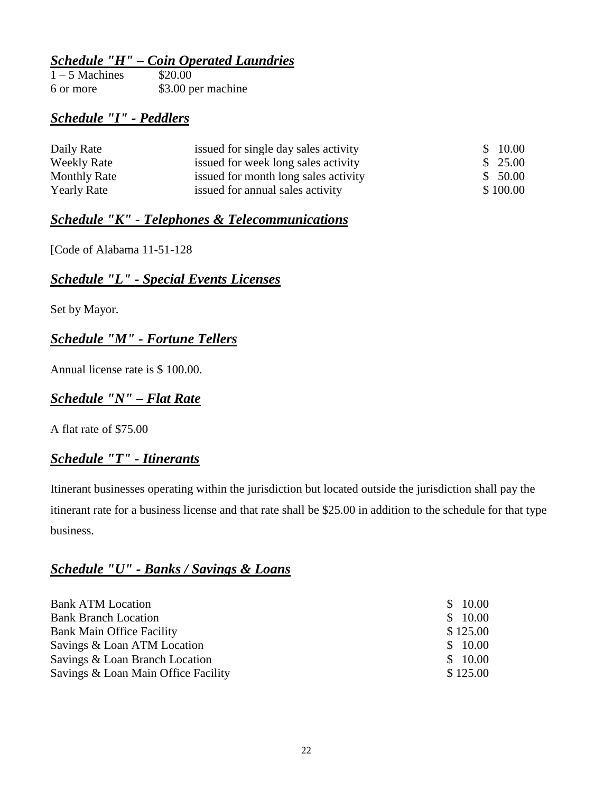# *Schedule "H" – Coin Operated Laundries*

| $1 - 5$ Machines | \$20.00            |
|------------------|--------------------|
| 6 or more        | \$3.00 per machine |

# *Schedule "I" - Peddlers*

| Daily Rate          | issued for single day sales activity | \$10.00  |
|---------------------|--------------------------------------|----------|
| <b>Weekly Rate</b>  | issued for week long sales activity  | \$25.00  |
| <b>Monthly Rate</b> | issued for month long sales activity | \$50.00  |
| <b>Yearly Rate</b>  | issued for annual sales activity     | \$100.00 |

### *Schedule "K" - Telephones & Telecommunications*

[Code of Alabama 11-51-128

# *Schedule "L" - Special Events Licenses*

Set by Mayor.

# *Schedule "M" - Fortune Tellers*

Annual license rate is \$ 100.00.

# *Schedule "N" – Flat Rate*

A flat rate of \$75.00

### *Schedule "T" - Itinerants*

Itinerant businesses operating within the jurisdiction but located outside the jurisdiction shall pay the itinerant rate for a business license and that rate shall be \$25.00 in addition to the schedule for that type business.

# *Schedule "U" - Banks / Savings & Loans*

| <b>Bank ATM Location</b>            | \$10.00  |  |
|-------------------------------------|----------|--|
| <b>Bank Branch Location</b>         | \$10.00  |  |
| Bank Main Office Facility           | \$125.00 |  |
| Savings & Loan ATM Location         | \$10.00  |  |
| Savings & Loan Branch Location      | \$10.00  |  |
| Savings & Loan Main Office Facility | \$125.00 |  |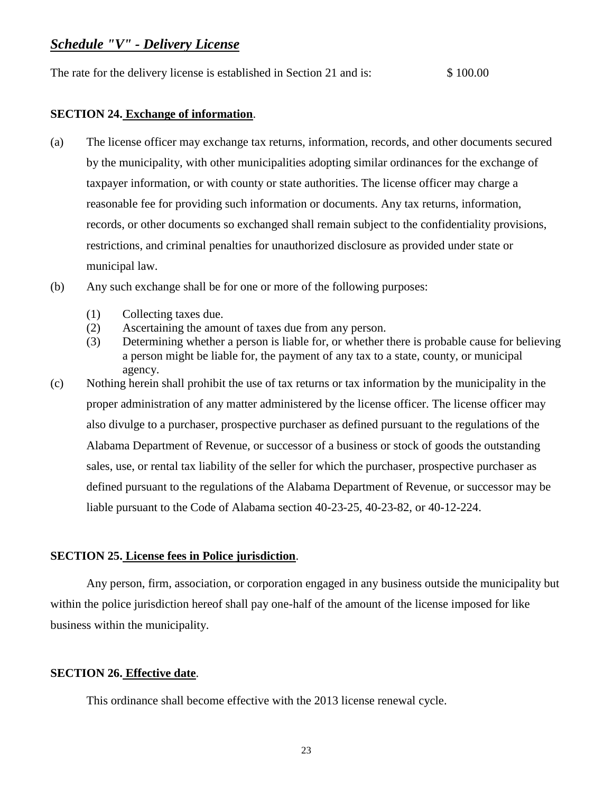### *Schedule "V" - Delivery License*

The rate for the delivery license is established in Section 21 and is: \$ 100.00

#### **SECTION 24. Exchange of information**.

- (a) The license officer may exchange tax returns, information, records, and other documents secured by the municipality, with other municipalities adopting similar ordinances for the exchange of taxpayer information, or with county or state authorities. The license officer may charge a reasonable fee for providing such information or documents. Any tax returns, information, records, or other documents so exchanged shall remain subject to the confidentiality provisions, restrictions, and criminal penalties for unauthorized disclosure as provided under state or municipal law.
- (b) Any such exchange shall be for one or more of the following purposes:
	- (1) Collecting taxes due.
	- (2) Ascertaining the amount of taxes due from any person.
	- (3) Determining whether a person is liable for, or whether there is probable cause for believing a person might be liable for, the payment of any tax to a state, county, or municipal agency.
- (c) Nothing herein shall prohibit the use of tax returns or tax information by the municipality in the proper administration of any matter administered by the license officer. The license officer may also divulge to a purchaser, prospective purchaser as defined pursuant to the regulations of the Alabama Department of Revenue, or successor of a business or stock of goods the outstanding sales, use, or rental tax liability of the seller for which the purchaser, prospective purchaser as defined pursuant to the regulations of the Alabama Department of Revenue, or successor may be liable pursuant to the Code of Alabama section 40-23-25, 40-23-82, or 40-12-224.

### **SECTION 25. License fees in Police jurisdiction**.

Any person, firm, association, or corporation engaged in any business outside the municipality but within the police jurisdiction hereof shall pay one-half of the amount of the license imposed for like business within the municipality.

### **SECTION 26. Effective date**.

This ordinance shall become effective with the 2013 license renewal cycle.